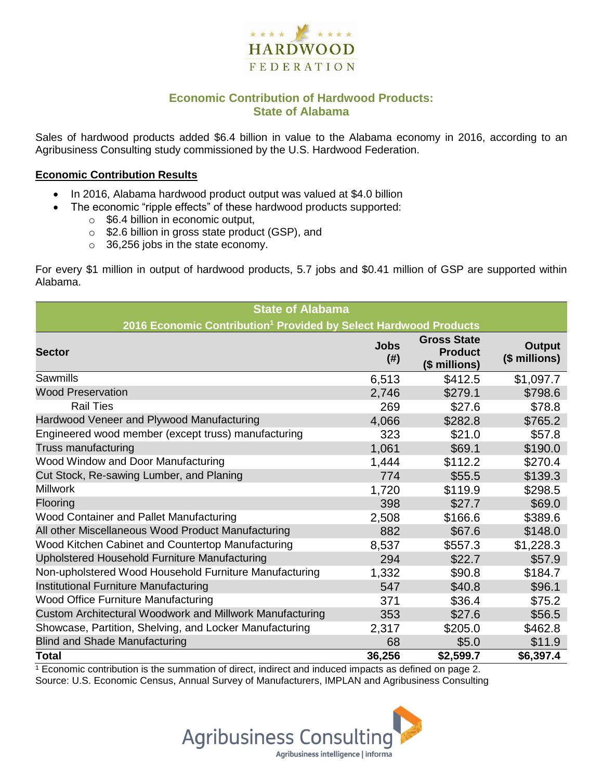

## **Economic Contribution of Hardwood Products: State of Alabama**

Sales of hardwood products added \$6.4 billion in value to the Alabama economy in 2016, according to an Agribusiness Consulting study commissioned by the U.S. Hardwood Federation.

#### **Economic Contribution Results**

- In 2016, Alabama hardwood product output was valued at \$4.0 billion
	- The economic "ripple effects" of these hardwood products supported:
		- o \$6.4 billion in economic output,
		- o \$2.6 billion in gross state product (GSP), and
		- o 36,256 jobs in the state economy.

For every \$1 million in output of hardwood products, 5.7 jobs and \$0.41 million of GSP are supported within Alabama.

| <b>State of Alabama</b>                                                      |                     |                                                       |                         |  |  |  |
|------------------------------------------------------------------------------|---------------------|-------------------------------------------------------|-------------------------|--|--|--|
| 2016 Economic Contribution <sup>1</sup> Provided by Select Hardwood Products |                     |                                                       |                         |  |  |  |
| <b>Sector</b>                                                                | <b>Jobs</b><br>(# ) | <b>Gross State</b><br><b>Product</b><br>(\$ millions) | Output<br>(\$ millions) |  |  |  |
| <b>Sawmills</b>                                                              | 6,513               | \$412.5                                               | \$1,097.7               |  |  |  |
| <b>Wood Preservation</b>                                                     | 2,746               | \$279.1                                               | \$798.6                 |  |  |  |
| <b>Rail Ties</b>                                                             | 269                 | \$27.6                                                | \$78.8                  |  |  |  |
| Hardwood Veneer and Plywood Manufacturing                                    | 4,066               | \$282.8                                               | \$765.2                 |  |  |  |
| Engineered wood member (except truss) manufacturing                          | 323                 | \$21.0                                                | \$57.8                  |  |  |  |
| Truss manufacturing                                                          | 1,061               | \$69.1                                                | \$190.0                 |  |  |  |
| Wood Window and Door Manufacturing                                           | 1,444               | \$112.2                                               | \$270.4                 |  |  |  |
| Cut Stock, Re-sawing Lumber, and Planing                                     | 774                 | \$55.5                                                | \$139.3                 |  |  |  |
| <b>Millwork</b>                                                              | 1,720               | \$119.9                                               | \$298.5                 |  |  |  |
| Flooring                                                                     | 398                 | \$27.7                                                | \$69.0                  |  |  |  |
| Wood Container and Pallet Manufacturing                                      | 2,508               | \$166.6                                               | \$389.6                 |  |  |  |
| All other Miscellaneous Wood Product Manufacturing                           | 882                 | \$67.6                                                | \$148.0                 |  |  |  |
| Wood Kitchen Cabinet and Countertop Manufacturing                            | 8,537               | \$557.3                                               | \$1,228.3               |  |  |  |
| Upholstered Household Furniture Manufacturing                                | 294                 | \$22.7                                                | \$57.9                  |  |  |  |
| Non-upholstered Wood Household Furniture Manufacturing                       | 1,332               | \$90.8                                                | \$184.7                 |  |  |  |
| Institutional Furniture Manufacturing                                        | 547                 | \$40.8                                                | \$96.1                  |  |  |  |
| Wood Office Furniture Manufacturing                                          | 371                 | \$36.4                                                | \$75.2                  |  |  |  |
| Custom Architectural Woodwork and Millwork Manufacturing                     | 353                 | \$27.6                                                | \$56.5                  |  |  |  |
| Showcase, Partition, Shelving, and Locker Manufacturing                      | 2,317               | \$205.0                                               | \$462.8                 |  |  |  |
| <b>Blind and Shade Manufacturing</b>                                         | 68                  | \$5.0                                                 | \$11.9                  |  |  |  |
| <b>Total</b>                                                                 | 36,256              | \$2,599.7                                             | \$6,397.4               |  |  |  |

 $1$  Economic contribution is the summation of direct, indirect and induced impacts as defined on page 2. Source: U.S. Economic Census, Annual Survey of Manufacturers, IMPLAN and Agribusiness Consulting